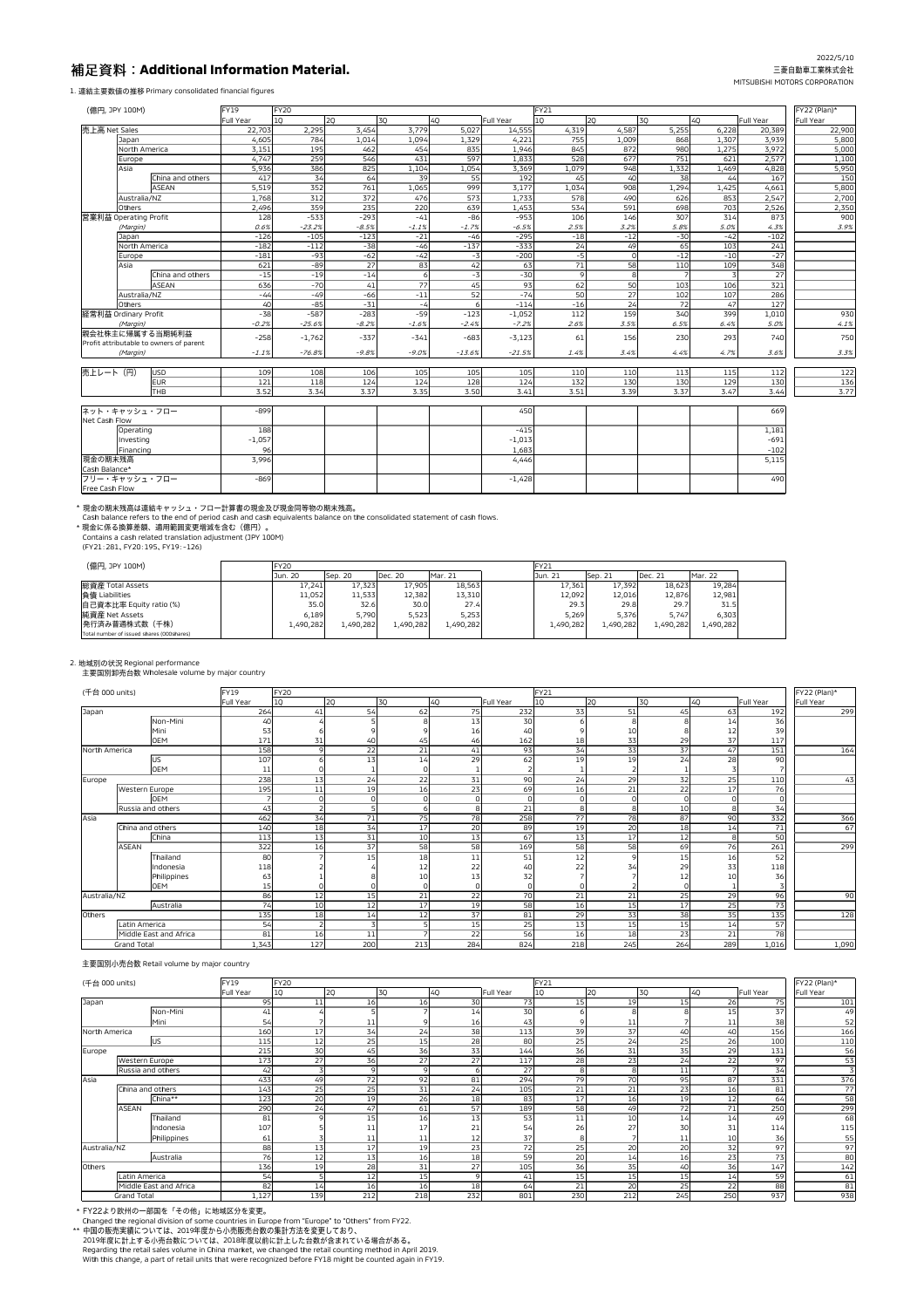# **Additional Information Material.**

1. 連結主要数値の推移 Primary consolidated financial figures

# 2022/5/10 三菱自動車工業株式会社 MITSUBISHI MOTORS CORPORATION

# 2. 地域別の状況 Regional performance

主要国別卸売台数 Wholesale volume by major country

Cash balance refers to the end of period cash and cash equivalents balance on the consolidated statement of cash flows.

\* 現金に係る換算差額、適用範囲変更増減を含む(億円)。

Contains a cash related translation adjustment (JPY 100M)

(FY21:281、FY20:195、FY19:-126)

| (億円, JPY 100M)                            | <b>FY20</b> |           |           |           | $ $ FY21  |           |           |           |  |
|-------------------------------------------|-------------|-----------|-----------|-----------|-----------|-----------|-----------|-----------|--|
|                                           | Jun. 20     | Sep. 20   | Dec. 20   | Mar. 21   | Jun. 21   | Sep. 21   | Dec. 21   | Mar. 22   |  |
| 総資産 Total Assets                          | 17,241      | 17,323    | 17,905    | 18,563    | 17,361    | 17,392    | 18,623    | 19,284    |  |
| 負債 Liabilities                            | 11,052      | 11,533    | 12,382    | 13,310    | 12,092    | 12,016    | 12,876    | 12,981    |  |
| 自己資本比率 Equity ratio (%)                   | 35.0        | 32.6      | 30.0      | 27.4      | 29.3      | 29.8      | 29.7      | 31.5      |  |
| 純資産 Net Assets                            | 6,189       | 5,790     | 5,523     | 5,253     | 5,269     | 5,376     | 5,747     | 6,303     |  |
| 発行済み普通株式数(千株)                             | ∫490,282.⊾  | L,490,282 | 1,490,282 | 1,490,282 | 1,490,282 | 1,490,282 | 1,490,282 | L,490,282 |  |
| Total number of issued shares (000shares) |             |           |           |           |           |           |           |           |  |

| <b>Full Year</b><br>1Q<br>1Q<br>2Q<br>3Q<br>4Q<br>Full Year<br>2Q<br><b>3Q</b><br>4Q<br>Full Year<br><b>Full Year</b><br> 売上高 Net Sales<br>3,454<br>3,779<br>4,587<br>5,255<br>22,703<br>2,295<br>5,027<br>4,319<br>6,228<br>20,389<br>14,555<br>1,014<br>868<br>4,605<br>784<br>1,094<br>1,329<br>4,221<br>755<br>1,009<br>3,939<br>1,307<br>Japan<br>North America<br>195<br>845<br>872<br>980<br>3,151<br>462<br>454<br>835<br>3,972<br>1,946<br>1,275<br>259<br>431<br>597<br>528<br>751<br>4,747<br>546<br>677<br>2,577<br>1,833<br>621<br>Europe<br>825<br>386<br>1,104<br>1,054<br>1,079<br>948<br>1,332<br>Asia<br>5,936<br>4,828<br>3,369<br>1,469<br>34<br>China and others<br>417<br>39<br>192<br>40<br>38<br>167<br>64<br>55<br>45<br>44<br>5,519<br>352<br>761<br>999<br>908<br>1,294<br><b>ASEAN</b><br>1,065<br>3,177<br>1,034<br>4,661<br>1,425<br>372<br>573<br>312<br>2,547<br>Australia/NZ<br>476<br>578<br>490<br>626<br>1,768<br>1,733<br>853<br>235<br>359<br>220<br>639<br>534<br>591<br>1,453<br>698<br>703<br>2,526<br>2,350<br>2,496<br>Others<br>$-293$<br>営業利益 Operating Profit<br>$-86$<br>146<br>307<br>128<br>$-533$<br>$-41$<br>$-953$<br>106<br>873<br>314<br>0.6%<br>$-8.5%$<br>$-1.7%$<br>2.5%<br>3.2%<br>5.8%<br>4.3%<br>$-23.2%$<br>$-1.1%$<br>$-6.5%$<br>5.0%<br>(Margin)<br>$-126$<br>$-123$<br>$-21$<br>$-295$<br>$-18$<br>$-12$<br>$-30$<br>$-102$<br>$-105$<br>$-46$<br>$-42$<br>Japan<br>North America<br>$-333$<br>$-182$<br>$-112$<br>$-38$<br>$-46$<br>$-137$<br>24<br>49<br>65<br>241<br>103<br>$-62$<br>$-12$<br>$-27$<br>$-181$<br>$-93$<br>$-42$<br>$-200$<br>$-5$<br>$-10$<br>$-3$<br>Europe<br>27<br>71<br>$-89$<br>83<br>42<br>58<br>348<br>Asia<br>621<br>63<br>110<br>109<br>$-30$<br>$-19$<br>$-14$<br>27<br>China and others<br>$-15$<br>$-3$<br>77<br>93<br>636<br>$-70$<br>41<br>45<br>62<br>50<br>103<br>321<br><b>ASEAN</b><br>106<br>$-66$<br>$-11$<br>52<br>$-74$<br>27<br>286<br>$-44$<br>$-49$<br>50<br>102<br>Australia/NZ<br>107<br>$-31$<br>24<br>127<br>40<br>$-85$<br>$-114$<br>$-16$<br>72<br>Others<br>-4<br>47<br>159<br>$-38$<br>$-283$<br>112<br> 経常利益 Ordinary Profit<br>$-587$<br>$-59$<br>$-123$<br>340<br>1,010<br>$-1,052$<br>399<br>$-0.2%$<br>$-8.2%$<br>$-7.2%$<br>3.5%<br>6.5%<br>$-25.6%$<br>$-1.6%$<br>$-2.4%$<br>2.6%<br>5.0%<br>(Margin)<br>6.4%<br> 親会社株主に帰属する当期純利益<br>740<br>750<br>$-258$<br>$-337$<br>$-341$<br>$-683$<br>$-3,123$<br>230<br>293<br>$-1,762$<br>61<br>156<br>Profit attributable to owners of parent<br>$-9.8%$<br>$-1.1%$<br>$-76.8%$<br>$-9.0%$<br>$-13.6%$<br>$-21.5%$<br>1.4%<br>3.4%<br>4.4%<br>4.7%<br>3.6%<br>(Margin)<br> 売上レート(円)<br>108<br>106<br>105<br>110<br>113<br>112<br>122<br>USD<br>109<br>105<br>105<br>110<br>115<br>EUR<br>121<br>118<br>124<br>124<br>128<br>124<br>132<br>130<br>130<br>129<br>130<br>136<br>3.50<br>3.51<br>3.37<br>3.44<br>3.77<br><b>THB</b><br>3.52<br>3.34<br>3.37<br>3.35<br>3.41<br>3.39<br>3.47<br> ネット・キャッシュ・フロー <br>669<br>$-899$<br>450<br>Net Cash Flow<br>Operating<br>188<br>$-415$<br>1,181<br>$-691$<br>$-1,057$<br>Investing<br>$-1,013$<br>Financing<br>$-102$<br>96<br>1,683<br> 現金の期末残高<br>3,996<br>5,115<br>4,446<br>Cash Balance*<br>フリー・キャッシュ・フロー<br>$-869$<br>490<br>$-1,428$ | (億円, JPY 100M) | <b>FY19</b> | <b>FY20</b> |  |  | <b>FY21</b> |  |  | FY22 (Plan)* |
|----------------------------------------------------------------------------------------------------------------------------------------------------------------------------------------------------------------------------------------------------------------------------------------------------------------------------------------------------------------------------------------------------------------------------------------------------------------------------------------------------------------------------------------------------------------------------------------------------------------------------------------------------------------------------------------------------------------------------------------------------------------------------------------------------------------------------------------------------------------------------------------------------------------------------------------------------------------------------------------------------------------------------------------------------------------------------------------------------------------------------------------------------------------------------------------------------------------------------------------------------------------------------------------------------------------------------------------------------------------------------------------------------------------------------------------------------------------------------------------------------------------------------------------------------------------------------------------------------------------------------------------------------------------------------------------------------------------------------------------------------------------------------------------------------------------------------------------------------------------------------------------------------------------------------------------------------------------------------------------------------------------------------------------------------------------------------------------------------------------------------------------------------------------------------------------------------------------------------------------------------------------------------------------------------------------------------------------------------------------------------------------------------------------------------------------------------------------------------------------------------------------------------------------------------------------------------------------------------------------------------------------------------------------------------------------------------------------------------------------------------------------------------------------------------------------------------------------------------------------------------------------------------------------------------------------------------------------------------------------------------------------------------------------------------------------------------------------------------------------------------------------------------------------------------------------------------------------------------------------------------------|----------------|-------------|-------------|--|--|-------------|--|--|--------------|
|                                                                                                                                                                                                                                                                                                                                                                                                                                                                                                                                                                                                                                                                                                                                                                                                                                                                                                                                                                                                                                                                                                                                                                                                                                                                                                                                                                                                                                                                                                                                                                                                                                                                                                                                                                                                                                                                                                                                                                                                                                                                                                                                                                                                                                                                                                                                                                                                                                                                                                                                                                                                                                                                                                                                                                                                                                                                                                                                                                                                                                                                                                                                                                                                                                                          |                |             |             |  |  |             |  |  |              |
|                                                                                                                                                                                                                                                                                                                                                                                                                                                                                                                                                                                                                                                                                                                                                                                                                                                                                                                                                                                                                                                                                                                                                                                                                                                                                                                                                                                                                                                                                                                                                                                                                                                                                                                                                                                                                                                                                                                                                                                                                                                                                                                                                                                                                                                                                                                                                                                                                                                                                                                                                                                                                                                                                                                                                                                                                                                                                                                                                                                                                                                                                                                                                                                                                                                          |                |             |             |  |  |             |  |  | 22,900       |
|                                                                                                                                                                                                                                                                                                                                                                                                                                                                                                                                                                                                                                                                                                                                                                                                                                                                                                                                                                                                                                                                                                                                                                                                                                                                                                                                                                                                                                                                                                                                                                                                                                                                                                                                                                                                                                                                                                                                                                                                                                                                                                                                                                                                                                                                                                                                                                                                                                                                                                                                                                                                                                                                                                                                                                                                                                                                                                                                                                                                                                                                                                                                                                                                                                                          |                |             |             |  |  |             |  |  | 5,800        |
|                                                                                                                                                                                                                                                                                                                                                                                                                                                                                                                                                                                                                                                                                                                                                                                                                                                                                                                                                                                                                                                                                                                                                                                                                                                                                                                                                                                                                                                                                                                                                                                                                                                                                                                                                                                                                                                                                                                                                                                                                                                                                                                                                                                                                                                                                                                                                                                                                                                                                                                                                                                                                                                                                                                                                                                                                                                                                                                                                                                                                                                                                                                                                                                                                                                          |                |             |             |  |  |             |  |  | 5,000        |
|                                                                                                                                                                                                                                                                                                                                                                                                                                                                                                                                                                                                                                                                                                                                                                                                                                                                                                                                                                                                                                                                                                                                                                                                                                                                                                                                                                                                                                                                                                                                                                                                                                                                                                                                                                                                                                                                                                                                                                                                                                                                                                                                                                                                                                                                                                                                                                                                                                                                                                                                                                                                                                                                                                                                                                                                                                                                                                                                                                                                                                                                                                                                                                                                                                                          |                |             |             |  |  |             |  |  | 1,100        |
|                                                                                                                                                                                                                                                                                                                                                                                                                                                                                                                                                                                                                                                                                                                                                                                                                                                                                                                                                                                                                                                                                                                                                                                                                                                                                                                                                                                                                                                                                                                                                                                                                                                                                                                                                                                                                                                                                                                                                                                                                                                                                                                                                                                                                                                                                                                                                                                                                                                                                                                                                                                                                                                                                                                                                                                                                                                                                                                                                                                                                                                                                                                                                                                                                                                          |                |             |             |  |  |             |  |  | 5,950        |
|                                                                                                                                                                                                                                                                                                                                                                                                                                                                                                                                                                                                                                                                                                                                                                                                                                                                                                                                                                                                                                                                                                                                                                                                                                                                                                                                                                                                                                                                                                                                                                                                                                                                                                                                                                                                                                                                                                                                                                                                                                                                                                                                                                                                                                                                                                                                                                                                                                                                                                                                                                                                                                                                                                                                                                                                                                                                                                                                                                                                                                                                                                                                                                                                                                                          |                |             |             |  |  |             |  |  | 150          |
|                                                                                                                                                                                                                                                                                                                                                                                                                                                                                                                                                                                                                                                                                                                                                                                                                                                                                                                                                                                                                                                                                                                                                                                                                                                                                                                                                                                                                                                                                                                                                                                                                                                                                                                                                                                                                                                                                                                                                                                                                                                                                                                                                                                                                                                                                                                                                                                                                                                                                                                                                                                                                                                                                                                                                                                                                                                                                                                                                                                                                                                                                                                                                                                                                                                          |                |             |             |  |  |             |  |  | 5,800        |
|                                                                                                                                                                                                                                                                                                                                                                                                                                                                                                                                                                                                                                                                                                                                                                                                                                                                                                                                                                                                                                                                                                                                                                                                                                                                                                                                                                                                                                                                                                                                                                                                                                                                                                                                                                                                                                                                                                                                                                                                                                                                                                                                                                                                                                                                                                                                                                                                                                                                                                                                                                                                                                                                                                                                                                                                                                                                                                                                                                                                                                                                                                                                                                                                                                                          |                |             |             |  |  |             |  |  | 2,700        |
|                                                                                                                                                                                                                                                                                                                                                                                                                                                                                                                                                                                                                                                                                                                                                                                                                                                                                                                                                                                                                                                                                                                                                                                                                                                                                                                                                                                                                                                                                                                                                                                                                                                                                                                                                                                                                                                                                                                                                                                                                                                                                                                                                                                                                                                                                                                                                                                                                                                                                                                                                                                                                                                                                                                                                                                                                                                                                                                                                                                                                                                                                                                                                                                                                                                          |                |             |             |  |  |             |  |  |              |
|                                                                                                                                                                                                                                                                                                                                                                                                                                                                                                                                                                                                                                                                                                                                                                                                                                                                                                                                                                                                                                                                                                                                                                                                                                                                                                                                                                                                                                                                                                                                                                                                                                                                                                                                                                                                                                                                                                                                                                                                                                                                                                                                                                                                                                                                                                                                                                                                                                                                                                                                                                                                                                                                                                                                                                                                                                                                                                                                                                                                                                                                                                                                                                                                                                                          |                |             |             |  |  |             |  |  | 900          |
|                                                                                                                                                                                                                                                                                                                                                                                                                                                                                                                                                                                                                                                                                                                                                                                                                                                                                                                                                                                                                                                                                                                                                                                                                                                                                                                                                                                                                                                                                                                                                                                                                                                                                                                                                                                                                                                                                                                                                                                                                                                                                                                                                                                                                                                                                                                                                                                                                                                                                                                                                                                                                                                                                                                                                                                                                                                                                                                                                                                                                                                                                                                                                                                                                                                          |                |             |             |  |  |             |  |  | 3.9%         |
|                                                                                                                                                                                                                                                                                                                                                                                                                                                                                                                                                                                                                                                                                                                                                                                                                                                                                                                                                                                                                                                                                                                                                                                                                                                                                                                                                                                                                                                                                                                                                                                                                                                                                                                                                                                                                                                                                                                                                                                                                                                                                                                                                                                                                                                                                                                                                                                                                                                                                                                                                                                                                                                                                                                                                                                                                                                                                                                                                                                                                                                                                                                                                                                                                                                          |                |             |             |  |  |             |  |  |              |
|                                                                                                                                                                                                                                                                                                                                                                                                                                                                                                                                                                                                                                                                                                                                                                                                                                                                                                                                                                                                                                                                                                                                                                                                                                                                                                                                                                                                                                                                                                                                                                                                                                                                                                                                                                                                                                                                                                                                                                                                                                                                                                                                                                                                                                                                                                                                                                                                                                                                                                                                                                                                                                                                                                                                                                                                                                                                                                                                                                                                                                                                                                                                                                                                                                                          |                |             |             |  |  |             |  |  |              |
|                                                                                                                                                                                                                                                                                                                                                                                                                                                                                                                                                                                                                                                                                                                                                                                                                                                                                                                                                                                                                                                                                                                                                                                                                                                                                                                                                                                                                                                                                                                                                                                                                                                                                                                                                                                                                                                                                                                                                                                                                                                                                                                                                                                                                                                                                                                                                                                                                                                                                                                                                                                                                                                                                                                                                                                                                                                                                                                                                                                                                                                                                                                                                                                                                                                          |                |             |             |  |  |             |  |  |              |
|                                                                                                                                                                                                                                                                                                                                                                                                                                                                                                                                                                                                                                                                                                                                                                                                                                                                                                                                                                                                                                                                                                                                                                                                                                                                                                                                                                                                                                                                                                                                                                                                                                                                                                                                                                                                                                                                                                                                                                                                                                                                                                                                                                                                                                                                                                                                                                                                                                                                                                                                                                                                                                                                                                                                                                                                                                                                                                                                                                                                                                                                                                                                                                                                                                                          |                |             |             |  |  |             |  |  |              |
|                                                                                                                                                                                                                                                                                                                                                                                                                                                                                                                                                                                                                                                                                                                                                                                                                                                                                                                                                                                                                                                                                                                                                                                                                                                                                                                                                                                                                                                                                                                                                                                                                                                                                                                                                                                                                                                                                                                                                                                                                                                                                                                                                                                                                                                                                                                                                                                                                                                                                                                                                                                                                                                                                                                                                                                                                                                                                                                                                                                                                                                                                                                                                                                                                                                          |                |             |             |  |  |             |  |  |              |
|                                                                                                                                                                                                                                                                                                                                                                                                                                                                                                                                                                                                                                                                                                                                                                                                                                                                                                                                                                                                                                                                                                                                                                                                                                                                                                                                                                                                                                                                                                                                                                                                                                                                                                                                                                                                                                                                                                                                                                                                                                                                                                                                                                                                                                                                                                                                                                                                                                                                                                                                                                                                                                                                                                                                                                                                                                                                                                                                                                                                                                                                                                                                                                                                                                                          |                |             |             |  |  |             |  |  |              |
|                                                                                                                                                                                                                                                                                                                                                                                                                                                                                                                                                                                                                                                                                                                                                                                                                                                                                                                                                                                                                                                                                                                                                                                                                                                                                                                                                                                                                                                                                                                                                                                                                                                                                                                                                                                                                                                                                                                                                                                                                                                                                                                                                                                                                                                                                                                                                                                                                                                                                                                                                                                                                                                                                                                                                                                                                                                                                                                                                                                                                                                                                                                                                                                                                                                          |                |             |             |  |  |             |  |  |              |
|                                                                                                                                                                                                                                                                                                                                                                                                                                                                                                                                                                                                                                                                                                                                                                                                                                                                                                                                                                                                                                                                                                                                                                                                                                                                                                                                                                                                                                                                                                                                                                                                                                                                                                                                                                                                                                                                                                                                                                                                                                                                                                                                                                                                                                                                                                                                                                                                                                                                                                                                                                                                                                                                                                                                                                                                                                                                                                                                                                                                                                                                                                                                                                                                                                                          |                |             |             |  |  |             |  |  |              |
|                                                                                                                                                                                                                                                                                                                                                                                                                                                                                                                                                                                                                                                                                                                                                                                                                                                                                                                                                                                                                                                                                                                                                                                                                                                                                                                                                                                                                                                                                                                                                                                                                                                                                                                                                                                                                                                                                                                                                                                                                                                                                                                                                                                                                                                                                                                                                                                                                                                                                                                                                                                                                                                                                                                                                                                                                                                                                                                                                                                                                                                                                                                                                                                                                                                          |                |             |             |  |  |             |  |  | 930          |
|                                                                                                                                                                                                                                                                                                                                                                                                                                                                                                                                                                                                                                                                                                                                                                                                                                                                                                                                                                                                                                                                                                                                                                                                                                                                                                                                                                                                                                                                                                                                                                                                                                                                                                                                                                                                                                                                                                                                                                                                                                                                                                                                                                                                                                                                                                                                                                                                                                                                                                                                                                                                                                                                                                                                                                                                                                                                                                                                                                                                                                                                                                                                                                                                                                                          |                |             |             |  |  |             |  |  | 4.1%         |
|                                                                                                                                                                                                                                                                                                                                                                                                                                                                                                                                                                                                                                                                                                                                                                                                                                                                                                                                                                                                                                                                                                                                                                                                                                                                                                                                                                                                                                                                                                                                                                                                                                                                                                                                                                                                                                                                                                                                                                                                                                                                                                                                                                                                                                                                                                                                                                                                                                                                                                                                                                                                                                                                                                                                                                                                                                                                                                                                                                                                                                                                                                                                                                                                                                                          |                |             |             |  |  |             |  |  |              |
|                                                                                                                                                                                                                                                                                                                                                                                                                                                                                                                                                                                                                                                                                                                                                                                                                                                                                                                                                                                                                                                                                                                                                                                                                                                                                                                                                                                                                                                                                                                                                                                                                                                                                                                                                                                                                                                                                                                                                                                                                                                                                                                                                                                                                                                                                                                                                                                                                                                                                                                                                                                                                                                                                                                                                                                                                                                                                                                                                                                                                                                                                                                                                                                                                                                          |                |             |             |  |  |             |  |  |              |
|                                                                                                                                                                                                                                                                                                                                                                                                                                                                                                                                                                                                                                                                                                                                                                                                                                                                                                                                                                                                                                                                                                                                                                                                                                                                                                                                                                                                                                                                                                                                                                                                                                                                                                                                                                                                                                                                                                                                                                                                                                                                                                                                                                                                                                                                                                                                                                                                                                                                                                                                                                                                                                                                                                                                                                                                                                                                                                                                                                                                                                                                                                                                                                                                                                                          |                |             |             |  |  |             |  |  | 3.3%         |
|                                                                                                                                                                                                                                                                                                                                                                                                                                                                                                                                                                                                                                                                                                                                                                                                                                                                                                                                                                                                                                                                                                                                                                                                                                                                                                                                                                                                                                                                                                                                                                                                                                                                                                                                                                                                                                                                                                                                                                                                                                                                                                                                                                                                                                                                                                                                                                                                                                                                                                                                                                                                                                                                                                                                                                                                                                                                                                                                                                                                                                                                                                                                                                                                                                                          |                |             |             |  |  |             |  |  |              |
|                                                                                                                                                                                                                                                                                                                                                                                                                                                                                                                                                                                                                                                                                                                                                                                                                                                                                                                                                                                                                                                                                                                                                                                                                                                                                                                                                                                                                                                                                                                                                                                                                                                                                                                                                                                                                                                                                                                                                                                                                                                                                                                                                                                                                                                                                                                                                                                                                                                                                                                                                                                                                                                                                                                                                                                                                                                                                                                                                                                                                                                                                                                                                                                                                                                          |                |             |             |  |  |             |  |  |              |
|                                                                                                                                                                                                                                                                                                                                                                                                                                                                                                                                                                                                                                                                                                                                                                                                                                                                                                                                                                                                                                                                                                                                                                                                                                                                                                                                                                                                                                                                                                                                                                                                                                                                                                                                                                                                                                                                                                                                                                                                                                                                                                                                                                                                                                                                                                                                                                                                                                                                                                                                                                                                                                                                                                                                                                                                                                                                                                                                                                                                                                                                                                                                                                                                                                                          |                |             |             |  |  |             |  |  |              |
|                                                                                                                                                                                                                                                                                                                                                                                                                                                                                                                                                                                                                                                                                                                                                                                                                                                                                                                                                                                                                                                                                                                                                                                                                                                                                                                                                                                                                                                                                                                                                                                                                                                                                                                                                                                                                                                                                                                                                                                                                                                                                                                                                                                                                                                                                                                                                                                                                                                                                                                                                                                                                                                                                                                                                                                                                                                                                                                                                                                                                                                                                                                                                                                                                                                          |                |             |             |  |  |             |  |  |              |
|                                                                                                                                                                                                                                                                                                                                                                                                                                                                                                                                                                                                                                                                                                                                                                                                                                                                                                                                                                                                                                                                                                                                                                                                                                                                                                                                                                                                                                                                                                                                                                                                                                                                                                                                                                                                                                                                                                                                                                                                                                                                                                                                                                                                                                                                                                                                                                                                                                                                                                                                                                                                                                                                                                                                                                                                                                                                                                                                                                                                                                                                                                                                                                                                                                                          |                |             |             |  |  |             |  |  |              |
|                                                                                                                                                                                                                                                                                                                                                                                                                                                                                                                                                                                                                                                                                                                                                                                                                                                                                                                                                                                                                                                                                                                                                                                                                                                                                                                                                                                                                                                                                                                                                                                                                                                                                                                                                                                                                                                                                                                                                                                                                                                                                                                                                                                                                                                                                                                                                                                                                                                                                                                                                                                                                                                                                                                                                                                                                                                                                                                                                                                                                                                                                                                                                                                                                                                          |                |             |             |  |  |             |  |  |              |
|                                                                                                                                                                                                                                                                                                                                                                                                                                                                                                                                                                                                                                                                                                                                                                                                                                                                                                                                                                                                                                                                                                                                                                                                                                                                                                                                                                                                                                                                                                                                                                                                                                                                                                                                                                                                                                                                                                                                                                                                                                                                                                                                                                                                                                                                                                                                                                                                                                                                                                                                                                                                                                                                                                                                                                                                                                                                                                                                                                                                                                                                                                                                                                                                                                                          |                |             |             |  |  |             |  |  |              |
|                                                                                                                                                                                                                                                                                                                                                                                                                                                                                                                                                                                                                                                                                                                                                                                                                                                                                                                                                                                                                                                                                                                                                                                                                                                                                                                                                                                                                                                                                                                                                                                                                                                                                                                                                                                                                                                                                                                                                                                                                                                                                                                                                                                                                                                                                                                                                                                                                                                                                                                                                                                                                                                                                                                                                                                                                                                                                                                                                                                                                                                                                                                                                                                                                                                          |                |             |             |  |  |             |  |  |              |
|                                                                                                                                                                                                                                                                                                                                                                                                                                                                                                                                                                                                                                                                                                                                                                                                                                                                                                                                                                                                                                                                                                                                                                                                                                                                                                                                                                                                                                                                                                                                                                                                                                                                                                                                                                                                                                                                                                                                                                                                                                                                                                                                                                                                                                                                                                                                                                                                                                                                                                                                                                                                                                                                                                                                                                                                                                                                                                                                                                                                                                                                                                                                                                                                                                                          |                |             |             |  |  |             |  |  |              |
|                                                                                                                                                                                                                                                                                                                                                                                                                                                                                                                                                                                                                                                                                                                                                                                                                                                                                                                                                                                                                                                                                                                                                                                                                                                                                                                                                                                                                                                                                                                                                                                                                                                                                                                                                                                                                                                                                                                                                                                                                                                                                                                                                                                                                                                                                                                                                                                                                                                                                                                                                                                                                                                                                                                                                                                                                                                                                                                                                                                                                                                                                                                                                                                                                                                          |                |             |             |  |  |             |  |  |              |
|                                                                                                                                                                                                                                                                                                                                                                                                                                                                                                                                                                                                                                                                                                                                                                                                                                                                                                                                                                                                                                                                                                                                                                                                                                                                                                                                                                                                                                                                                                                                                                                                                                                                                                                                                                                                                                                                                                                                                                                                                                                                                                                                                                                                                                                                                                                                                                                                                                                                                                                                                                                                                                                                                                                                                                                                                                                                                                                                                                                                                                                                                                                                                                                                                                                          |                |             |             |  |  |             |  |  |              |
|                                                                                                                                                                                                                                                                                                                                                                                                                                                                                                                                                                                                                                                                                                                                                                                                                                                                                                                                                                                                                                                                                                                                                                                                                                                                                                                                                                                                                                                                                                                                                                                                                                                                                                                                                                                                                                                                                                                                                                                                                                                                                                                                                                                                                                                                                                                                                                                                                                                                                                                                                                                                                                                                                                                                                                                                                                                                                                                                                                                                                                                                                                                                                                                                                                                          |                |             |             |  |  |             |  |  |              |
|                                                                                                                                                                                                                                                                                                                                                                                                                                                                                                                                                                                                                                                                                                                                                                                                                                                                                                                                                                                                                                                                                                                                                                                                                                                                                                                                                                                                                                                                                                                                                                                                                                                                                                                                                                                                                                                                                                                                                                                                                                                                                                                                                                                                                                                                                                                                                                                                                                                                                                                                                                                                                                                                                                                                                                                                                                                                                                                                                                                                                                                                                                                                                                                                                                                          | Free Cash Flow |             |             |  |  |             |  |  |              |

\* 現金の期末残高は連結キャッシュ・フロー計算書の現金及び現金同等物の期末残高。

| (千台 000 units) |                        | FY19<br><b>FY21</b><br>FY <sub>20</sub><br>3Q |     |                 |                 |                |           |     |     |                 |     |              |                  |  |
|----------------|------------------------|-----------------------------------------------|-----|-----------------|-----------------|----------------|-----------|-----|-----|-----------------|-----|--------------|------------------|--|
|                |                        | Full Year                                     | 10  | 2Q              | 3Q              | 4Q             | Full Year | 1Q  | 2Q  |                 | 4Q  | Full Year    | <b>Full Year</b> |  |
| Japan          |                        | 264                                           | 41  | 54              | 62              | 75             | 232       | 33  | 51  | 45              | 63  | 192          | 299              |  |
|                | Non-Mini               | 40                                            |     |                 |                 | 13             | 30        |     |     |                 | 14  | 36           |                  |  |
|                | Mini                   | 53                                            |     |                 |                 | 16             | 40        |     | 10  |                 | 12  | 39           |                  |  |
|                | <b>OEM</b>             | 171                                           | 31  | 40              | 45              | 46             | 162       | 18  | 33  | 29              | 37  | 117          |                  |  |
| North America  |                        | 158                                           |     | 22              | 21              | 41             | 93        | 34  | 33  | 37              | 47  | 151          | 164              |  |
|                | <b>US</b>              | 107                                           |     | 13              | 14 <sub>1</sub> | 29             | 62        | 19  | 19  | 24              | 28  | 90           |                  |  |
|                | <b>OEM</b>             | 11                                            |     |                 |                 |                |           |     |     |                 |     |              |                  |  |
| Europe         |                        | 238                                           | 13  | 24              | 22              | 31             | 90        | 24  | 29  | 32              | 25  | 110          | 43               |  |
|                | Western Europe         | 195                                           | 11  | 19              | 16              | 23             | 69        | 16  | 21  | 22              | 17  | 76           |                  |  |
|                | <b>OEM</b>             |                                               |     |                 |                 | $\Omega$       |           |     |     |                 |     | $\mathsf{O}$ |                  |  |
|                | Russia and others      | 43                                            |     |                 | 6               | 8 <sup>1</sup> | 21        | 8   |     | 10 <sup>1</sup> |     | 34           |                  |  |
| Asia           |                        | 462                                           | 34  | 71              | 75              | <b>78</b>      | 258       | 77  | 78  | 87              | 90  | 332          | 366              |  |
|                | China and others       | 140                                           | 18  | 34              | 17              | 20             | 89        | 19  | 20  | 18              | 14  | 71           | 67               |  |
|                | China                  | 113                                           | 13  | 31              | 10              | 13             | 67        | 13  | 17  | 12              |     | 50           |                  |  |
|                | <b>ASEAN</b>           | 322                                           | 16  | 37              | 58              | 58             | 169       | 58  | 58  | 69              | 76  | 261          | 299              |  |
|                | Thailand               | 80                                            |     | 15              | 18              | 11             | 51        | 12  |     | 15              | 16  | 52           |                  |  |
|                | Indonesia              | 118                                           |     |                 | 12              | 22             | 40        | 22  |     | 29              | 33  | 118          |                  |  |
|                | Philippines            | 63                                            |     |                 | 10              | 13             | 32        |     |     | 12              |     | 36           |                  |  |
|                | <b>OEM</b>             | 15                                            |     |                 |                 |                |           |     |     |                 |     |              |                  |  |
| Australia/NZ   |                        | 86                                            | 12  | 15              | 21              | 22             | 70        | 21  | 21  | 25              | 29  | 96           | 90 <sup>1</sup>  |  |
|                | Australia              | 74                                            | 10  | 12              | 17              | 19             | 58        | 16  | 15  | 17              | 25  | 73           |                  |  |
| <b>Others</b>  |                        | 135                                           | 18  | 14 <sub>1</sub> | 12              | 37             | 81        | 29  | 33  | 38              | 35  | 135          | 128              |  |
|                | Latin America          | 54                                            |     |                 |                 | 15             | 25        | 13  | 15  | 15              | 14  | 57           |                  |  |
|                | Middle East and Africa | 81                                            | 16  | 11              |                 | 22             | 56        | 16  | 18  | 23              | 21  | 78           |                  |  |
|                | <b>Grand Total</b>     | 1,343                                         | 127 | 200             | 213             | 284            | 824       | 218 | 245 | 264             | 289 | 1,016        | 1,090            |  |

## 主要国別小売台数 Retail volume by major country

| (千台 000 units) |                        | <b>FY19</b> | <b>FY20</b> |     |     |     |           | <b>FY21</b> |     |           |     |           | FY22 (Plan)* |
|----------------|------------------------|-------------|-------------|-----|-----|-----|-----------|-------------|-----|-----------|-----|-----------|--------------|
|                |                        | Full Year   | 1Q          | 2Q  | 3Q  | 4Q  | Full Year | 1Q          | 20  | <b>30</b> | AQ  | Full Year | Full Year    |
| Japan          |                        | 95          | 11          | 16  | 16  | 30  | 73        | 15          | 19  | 15        | 26  | 75        | 101          |
|                | Non-Mini               | 41          |             |     |     | 14  | 30        |             |     |           | 15  | 37        | 49           |
|                | Mini                   | 54          |             | 11  |     | 16  | 43        |             |     |           |     | 38        | 52           |
| North America  |                        | 160         | 17          | 34  | 24  | 38  | 113       | 39          | 37  | 40        | 40  | 156       | 166          |
|                | <b>US</b>              | 115         | 12          | 25  | 15  | 28  | 80        | 25          | 24  | 25        | 26  | 100       | 110          |
| Europe         |                        | 215         | 30          | 45  | 36  | 33  | 144       | 36          | 31  | 35        | 29  | 131       | 56           |
|                | Western Europe         | 173         | 27          | 36  | 27  | 27  | 117       | 28          | 23  | 24        | 22  | 97        | 53           |
|                | Russia and others      | 42          |             |     |     |     | 27        |             |     | 11        |     | 34        |              |
| Asia           |                        | 433         | 49          | 72  | 92  | 81  | 294       | 79          | 70  | 95        | 87  | 331       | 376          |
|                | China and others       | 143         | 25          | 25  | 31  | 24  | 105       | 21          | 21  | 23        | 16  | 81        | 77           |
|                | China**                | 123         | 20          | 19  | 26  | 18  | 83        | 17          | 16  | 19        | 12  | 64        | 58           |
|                | <b>ASEAN</b>           | 290         | 24          | 47  | 61  | 57  | 189       | 58          | 49  | 72        | 71  | 250       | 299          |
|                | Thailand               | 81          |             | 15  | 16  | 13  | 53        | 11          | 10  | 14        |     | 49        | 68           |
|                | Indonesia              | 107         |             | 11  | 17  | 21  |           | 26          | 27  | 30        | 31  | 114       | 115          |
|                | Philippines            | 61          |             | 11  | 11  | 12  | 37        |             |     | 11        | 10  | 36        | 55           |
| Australia/NZ   |                        | 88          | 13          | 17  | 19  | 23  | 72        | 25          | 20  | 20        | 32  | 97        | 97           |
|                | Australia              | 76          | 12          | 13  | 16  | 18  | 59        | 20          | 14  | 16        | 23  | 73        | 80           |
| Others         |                        | 136         | 19          | 28  | 31  | 27  | 105       | 36          | 35  | 40        | 36  | 147       | 142          |
|                | Latin America          | 54          |             | 12  | 15  |     | 41        | 15          | 15  | 15        | 14  | 59        | 61           |
|                | Middle East and Africa | 82          | 14          | 16  | 16  | 18  | 64        | 21          | 20  | 25        | 22  | 88        | 81           |
|                | <b>Grand Total</b>     | 1,127       | 139         | 212 | 218 | 232 | 801       | 230         | 212 | 245       | 250 | 937       | 938          |

# \* FY22より欧州の一部国を「その他」に地域区分を変更。

Changed the regional division of some countries in Europe from "Europe" to "Others" from FY22. \*\* 中国の販売実績については、2019年度から小売販売台数の集計方法を変更しており、 2019年度に計上する小売台数については、2018年度以前に計上した台数が含まれている場合がある。 Regarding the retail sales volume in China market, we changed the retail counting method in April 2019. With this change, a part of retail units that were recognized before FY18 might be counted again in FY19.